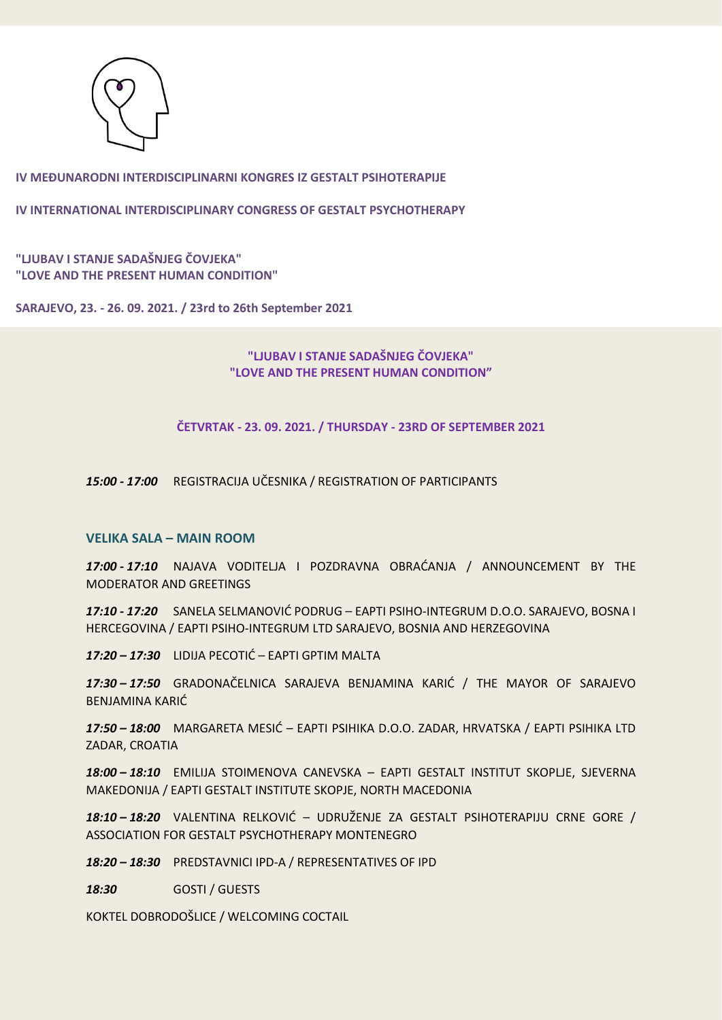

**IV INTERNATIONAL INTERDISCIPLINARY CONGRESS OF GESTALT PSYCHOTHERAPY**

**"LJUBAV I STANJE SADAŠNJEG ČOVJEKA" "LOVE AND THE PRESENT HUMAN CONDITION"** 

**SARAJEVO, 23. - 26. 09. 2021. / 23rd to 26th September 2021**

# **"LJUBAV I STANJE SADAŠNJEG ČOVJEKA" "LOVE AND THE PRESENT HUMAN CONDITION"**

**ČETVRTAK - 23. 09. 2021. / THURSDAY - 23RD OF SEPTEMBER 2021**

*15:00 - 17:00* REGISTRACIJA UČESNIKA / REGISTRATION OF PARTICIPANTS

## **VELIKA SALA – MAIN ROOM**

*17:00 - 17:10* NAJAVA VODITELJA I POZDRAVNA OBRAĆANJA / ANNOUNCEMENT BY THE MODERATOR AND GREETINGS

*17:10 - 17:20* SANELA SELMANOVIĆ PODRUG – EAPTI PSIHO-INTEGRUM D.O.O. SARAJEVO, BOSNA I HERCEGOVINA / EAPTI PSIHO-INTEGRUM LTD SARAJEVO, BOSNIA AND HERZEGOVINA

*17:20 – 17:30* LIDIJA PECOTIĆ – EAPTI GPTIM MALTA

*17:30 – 17:50* GRADONAČELNICA SARAJEVA BENJAMINA KARIĆ / THE MAYOR OF SARAJEVO BENJAMINA KARIĆ

*17:50 – 18:00* MARGARETA MESIĆ – EAPTI PSIHIKA D.O.O. ZADAR, HRVATSKA / EAPTI PSIHIKA LTD ZADAR, CROATIA

*18:00 – 18:10* EMILIJA STOIMENOVA CANEVSKA – EAPTI GESTALT INSTITUT SKOPLJE, SJEVERNA MAKEDONIJA / EAPTI GESTALT INSTITUTE SKOPJE, NORTH MACEDONIA

*18:10 – 18:20* VALENTINA RELKOVIĆ – UDRUŽENJE ZA GESTALT PSIHOTERAPIJU CRNE GORE / ASSOCIATION FOR GESTALT PSYCHOTHERAPY MONTENEGRO

*18:20 – 18:30* PREDSTAVNICI IPD-A / REPRESENTATIVES OF IPD

*18:30* GOSTI / GUESTS

KOKTEL DOBRODOŠLICE / WELCOMING COCTAIL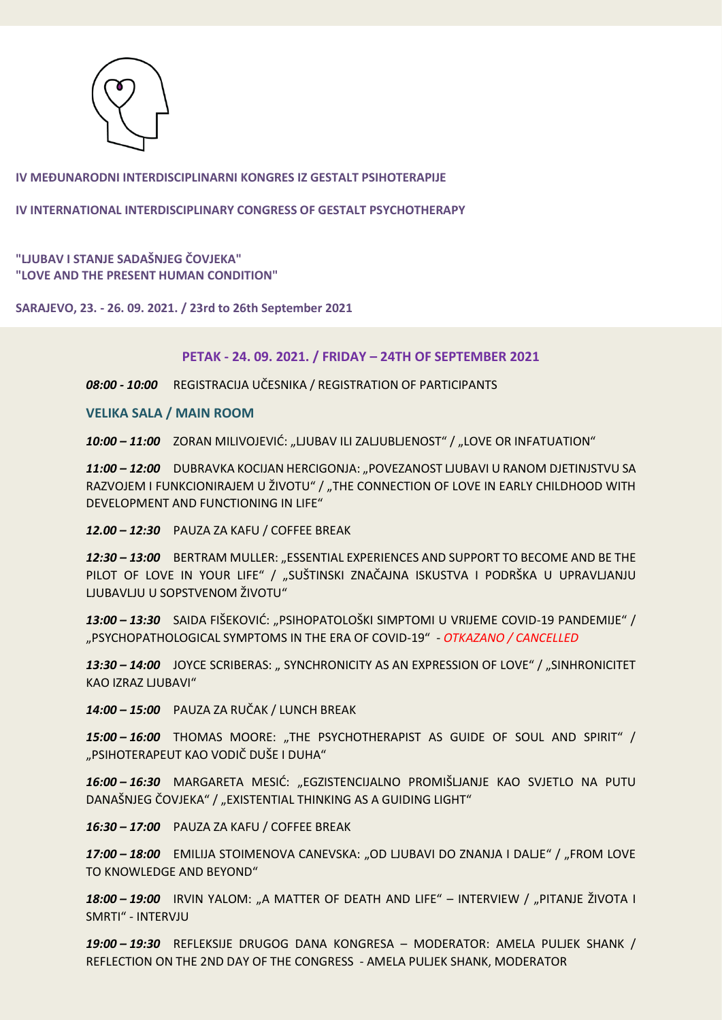

**IV INTERNATIONAL INTERDISCIPLINARY CONGRESS OF GESTALT PSYCHOTHERAPY**

## **"LJUBAV I STANJE SADAŠNJEG ČOVJEKA" "LOVE AND THE PRESENT HUMAN CONDITION"**

**SARAJEVO, 23. - 26. 09. 2021. / 23rd to 26th September 2021**

#### **PETAK - 24. 09. 2021. / FRIDAY – 24TH OF SEPTEMBER 2021**

*08:00 - 10:00* REGISTRACIJA UČESNIKA / REGISTRATION OF PARTICIPANTS

**VELIKA SALA / MAIN ROOM**

10:00 - 11:00 ZORAN MILIVOJEVIĆ: "LJUBAV ILI ZALJUBLJENOST" / "LOVE OR INFATUATION"

*11:00 – 12:00* DUBRAVKA KOCIJAN HERCIGONJA: "POVEZANOST LJUBAVI U RANOM DJETINJSTVU SA RAZVOJEM I FUNKCIONIRAJEM U ŽIVOTU" / "THE CONNECTION OF LOVE IN EARLY CHILDHOOD WITH DEVELOPMENT AND FUNCTIONING IN LIFE"

*12.00 – 12:30* PAUZA ZA KAFU / COFFEE BREAK

12:30 - 13:00 BERTRAM MULLER: "ESSENTIAL EXPERIENCES AND SUPPORT TO BECOME AND BE THE PILOT OF LOVE IN YOUR LIFE" / "SUŠTINSKI ZNAČAJNA ISKUSTVA I PODRŠKA U UPRAVLJANJU LJUBAVLJU U SOPSTVENOM ŽIVOTU"

*13:00 – 13:30* SAIDA FIŠEKOVIĆ: "PSIHOPATOLOŠKI SIMPTOMI U VRIJEME COVID-19 PANDEMIJE" / "PSYCHOPATHOLOGICAL SYMPTOMS IN THE ERA OF COVID-19" - *OTKAZANO / CANCELLED*

13:30 – 14:00 JOYCE SCRIBERAS: " SYNCHRONICITY AS AN EXPRESSION OF LOVE" / "SINHRONICITET KAO IZRAZ LJUBAVI"

*14:00 – 15:00* PAUZA ZA RUČAK / LUNCH BREAK

15:00 - 16:00 THOMAS MOORE: "THE PSYCHOTHERAPIST AS GUIDE OF SOUL AND SPIRIT" / "PSIHOTERAPEUT KAO VODIČ DUŠE I DUHA"

*16:00 – 16:30* MARGARETA MESIĆ: "EGZISTENCIJALNO PROMIŠLJANJE KAO SVJETLO NA PUTU DANAŠNJEG ČOVJEKA" / "EXISTENTIAL THINKING AS A GUIDING LIGHT"

*16:30 – 17:00* PAUZA ZA KAFU / COFFEE BREAK

17:00 – 18:00 EMILIJA STOIMENOVA CANEVSKA: "OD LJUBAVI DO ZNANJA I DALJE" / "FROM LOVE TO KNOWLEDGE AND BEYOND"

*18:00 – 19:00* IRVIN YALOM: "A MATTER OF DEATH AND LIFE" – INTERVIEW / "PITANJE ŽIVOTA I SMRTI" - INTERVJU

*19:00 – 19:30* REFLEKSIJE DRUGOG DANA KONGRESA – MODERATOR: AMELA PULJEK SHANK / REFLECTION ON THE 2ND DAY OF THE CONGRESS - AMELA PULJEK SHANK, MODERATOR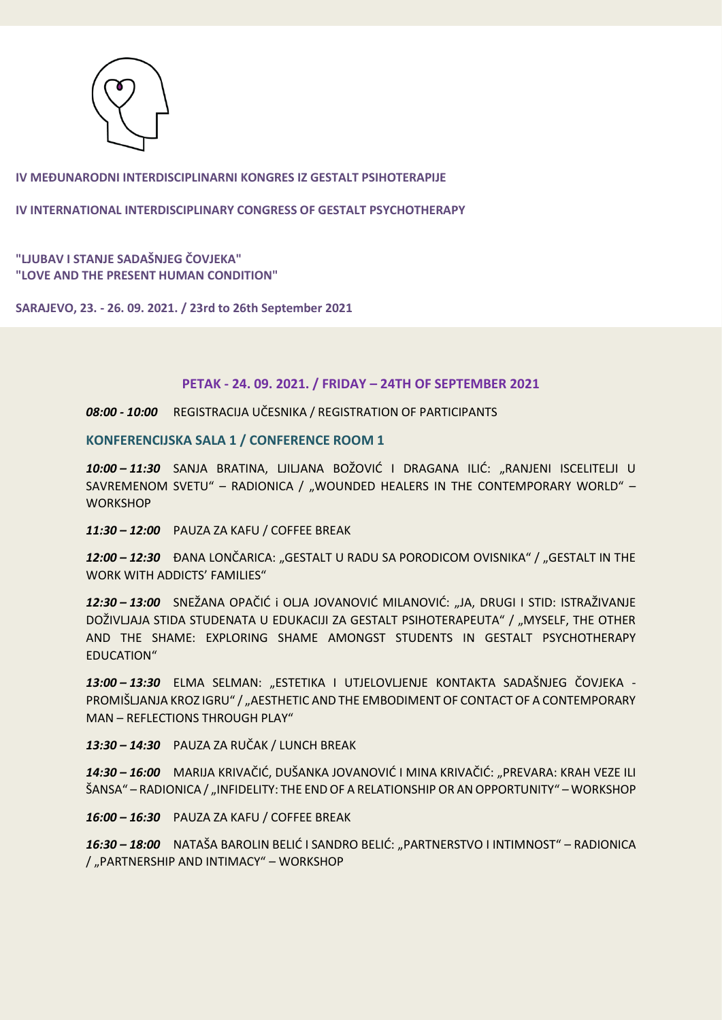

**IV INTERNATIONAL INTERDISCIPLINARY CONGRESS OF GESTALT PSYCHOTHERAPY**

**"LJUBAV I STANJE SADAŠNJEG ČOVJEKA" "LOVE AND THE PRESENT HUMAN CONDITION"** 

**SARAJEVO, 23. - 26. 09. 2021. / 23rd to 26th September 2021**

## **PETAK - 24. 09. 2021. / FRIDAY – 24TH OF SEPTEMBER 2021**

*08:00 - 10:00* REGISTRACIJA UČESNIKA / REGISTRATION OF PARTICIPANTS

**KONFERENCIJSKA SALA 1 / CONFERENCE ROOM 1** 

*10:00 – 11:30* SANJA BRATINA, LJILJANA BOŽOVIĆ I DRAGANA ILIĆ: "RANJENI ISCELITELJI U SAVREMENOM SVETU" - RADIONICA / "WOUNDED HEALERS IN THE CONTEMPORARY WORLD" -**WORKSHOP** 

*11:30 – 12:00* PAUZA ZA KAFU / COFFEE BREAK

*12:00 – 12:30* ĐANA LONČARICA: "GESTALT U RADU SA PORODICOM OVISNIKA" / "GESTALT IN THE WORK WITH ADDICTS' FAMILIES"

*12:30 – 13:00* SNEŽANA OPAČIĆ i OLJA JOVANOVIĆ MILANOVIĆ: "JA, DRUGI I STID: ISTRAŽIVANJE DOŽIVLJAJA STIDA STUDENATA U EDUKACIJI ZA GESTALT PSIHOTERAPEUTA" / "MYSELF, THE OTHER AND THE SHAME: EXPLORING SHAME AMONGST STUDENTS IN GESTALT PSYCHOTHERAPY EDUCATION"

*13:00 – 13:30* ELMA SELMAN: "ESTETIKA I UTJELOVLJENJE KONTAKTA SADAŠNJEG ČOVJEKA - PROMIŠLJANJA KROZ IGRU" / "AESTHETIC AND THE EMBODIMENT OF CONTACT OF A CONTEMPORARY MAN – REFLECTIONS THROUGH PLAY"

*13:30 – 14:30* PAUZA ZA RUČAK / LUNCH BREAK

*14:30 – 16:00* MARIJA KRIVAČIĆ, DUŠANKA JOVANOVIĆ I MINA KRIVAČIĆ: "PREVARA: KRAH VEZE ILI ŠANSA" – RADIONICA / "INFIDELITY: THE END OF A RELATIONSHIP OR AN OPPORTUNITY" – WORKSHOP

*16:00 – 16:30* PAUZA ZA KAFU / COFFEE BREAK

*16:30 – 18:00* NATAŠA BAROLIN BELIĆ I SANDRO BELIĆ: "PARTNERSTVO I INTIMNOST" – RADIONICA / "PARTNERSHIP AND INTIMACY" – WORKSHOP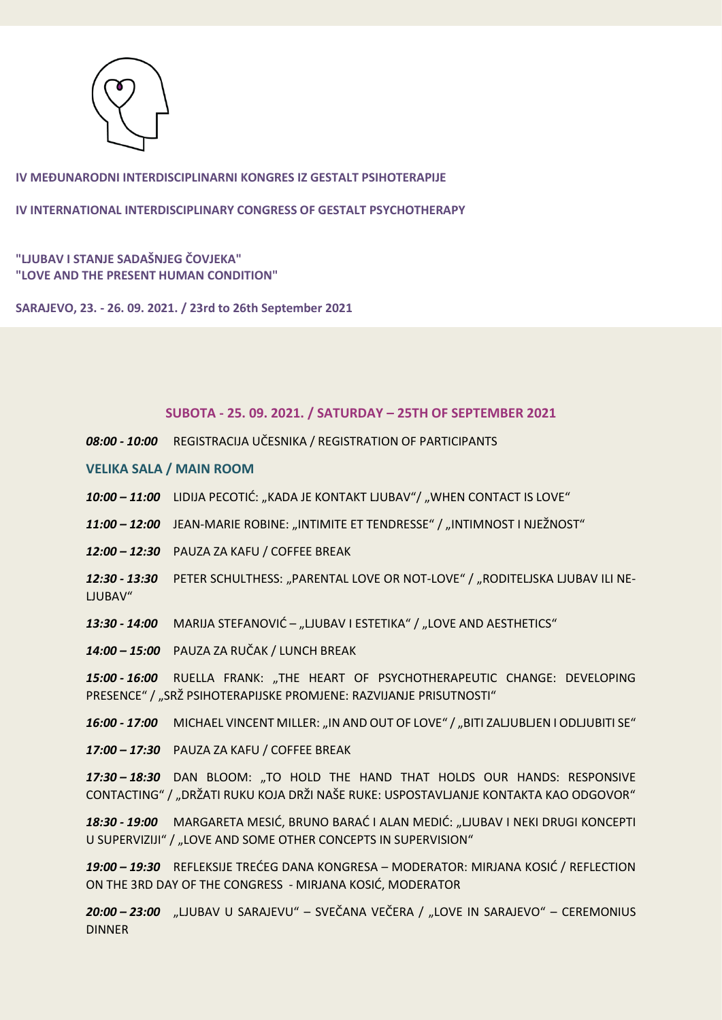

**IV INTERNATIONAL INTERDISCIPLINARY CONGRESS OF GESTALT PSYCHOTHERAPY**

**"LJUBAV I STANJE SADAŠNJEG ČOVJEKA" "LOVE AND THE PRESENT HUMAN CONDITION"** 

**SARAJEVO, 23. - 26. 09. 2021. / 23rd to 26th September 2021**

#### **SUBOTA - 25. 09. 2021. / SATURDAY – 25TH OF SEPTEMBER 2021**

*08:00 - 10:00* REGISTRACIJA UČESNIKA / REGISTRATION OF PARTICIPANTS

**VELIKA SALA / MAIN ROOM**

- 10:00 11:00 LIDIJA PECOTIĆ: "KADA JE KONTAKT LJUBAV"/ "WHEN CONTACT IS LOVE"
- 11:00 12:00 JEAN-MARIE ROBINE: "INTIMITE ET TENDRESSE" / "INTIMNOST I NJEŽNOST"
- *12:00 – 12:30* PAUZA ZA KAFU / COFFEE BREAK
- 12:30 13:30 PETER SCHULTHESS: "PARENTAL LOVE OR NOT-LOVE" / "RODITELJSKA LJUBAV ILI NE-LJUBAV"
- 13:30 14:00 MARIJA STEFANOVIĆ "LJUBAV I ESTETIKA" / "LOVE AND AESTHETICS"
- *14:00 – 15:00* PAUZA ZA RUČAK / LUNCH BREAK

15:00 - 16:00 RUELLA FRANK: "THE HEART OF PSYCHOTHERAPEUTIC CHANGE: DEVELOPING PRESENCE" / "SRŽ PSIHOTERAPIJSKE PROMJENE: RAZVIJANJE PRISUTNOSTI"

16:00 - 17:00 MICHAEL VINCENT MILLER: "IN AND OUT OF LOVE" / "BITI ZALJUBLJEN I ODLJUBITI SE"

*17:00 – 17:30* PAUZA ZA KAFU / COFFEE BREAK

*17:30 – 18:30* DAN BLOOM: "TO HOLD THE HAND THAT HOLDS OUR HANDS: RESPONSIVE CONTACTING" / "DRŽATI RUKU KOJA DRŽI NAŠE RUKE: USPOSTAVLJANJE KONTAKTA KAO ODGOVOR"

*18:30 - 19:00* MARGARETA MESIĆ, BRUNO BARAĆ I ALAN MEDIĆ: "LJUBAV I NEKI DRUGI KONCEPTI U SUPERVIZIJI" / "LOVE AND SOME OTHER CONCEPTS IN SUPERVISION"

*19:00 – 19:30* REFLEKSIJE TREĆEG DANA KONGRESA – MODERATOR: MIRJANA KOSIĆ / REFLECTION ON THE 3RD DAY OF THE CONGRESS - MIRJANA KOSIĆ, MODERATOR

20:00 - 23:00 "LJUBAV U SARAJEVU" - SVEČANA VEČERA / "LOVE IN SARAJEVO" - CEREMONIUS DINNER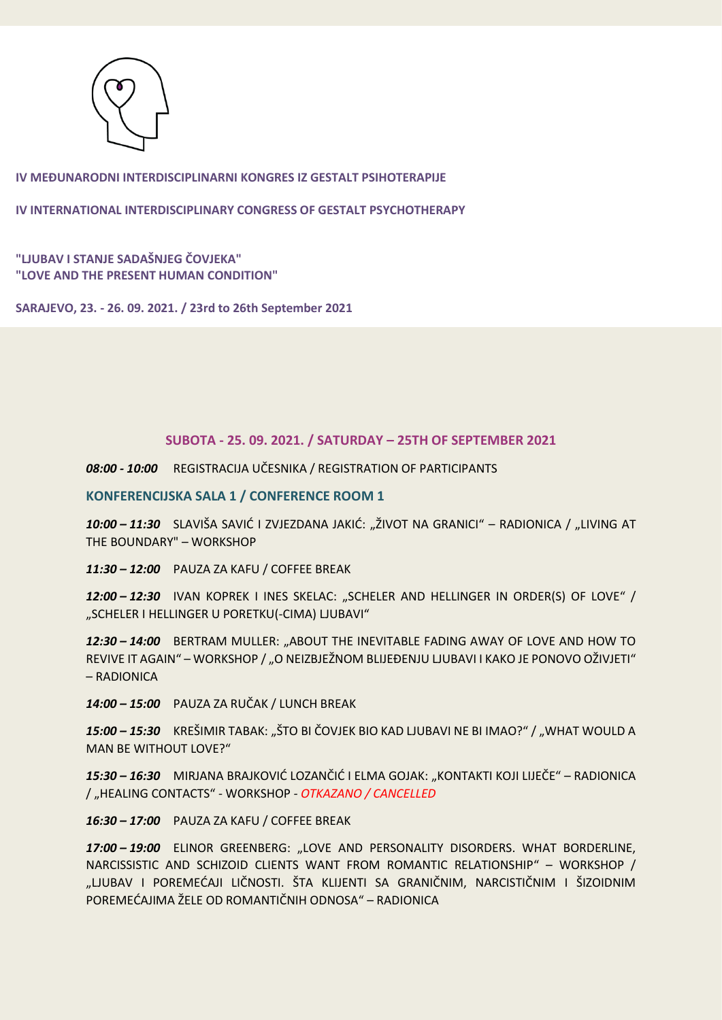

**IV INTERNATIONAL INTERDISCIPLINARY CONGRESS OF GESTALT PSYCHOTHERAPY**

**"LJUBAV I STANJE SADAŠNJEG ČOVJEKA" "LOVE AND THE PRESENT HUMAN CONDITION"** 

**SARAJEVO, 23. - 26. 09. 2021. / 23rd to 26th September 2021**

## **SUBOTA - 25. 09. 2021. / SATURDAY – 25TH OF SEPTEMBER 2021**

*08:00 - 10:00* REGISTRACIJA UČESNIKA / REGISTRATION OF PARTICIPANTS

**KONFERENCIJSKA SALA 1 / CONFERENCE ROOM 1** 

*10:00 – 11:30* SLAVIŠA SAVIĆ I ZVJEZDANA JAKIĆ: "ŽIVOT NA GRANICI" – RADIONICA / "LIVING AT THE BOUNDARY" – WORKSHOP

*11:30 – 12:00* PAUZA ZA KAFU / COFFEE BREAK

*12:00 – 12:30* IVAN KOPREK I INES SKELAC: "SCHELER AND HELLINGER IN ORDER(S) OF LOVE" / "SCHELER I HELLINGER U PORETKU(-CIMA) LJUBAVI"

12:30 - 14:00 BERTRAM MULLER: "ABOUT THE INEVITABLE FADING AWAY OF LOVE AND HOW TO REVIVE IT AGAIN" – WORKSHOP / "O NEIZBJEŽNOM BLIJEĐENJU LJUBAVI I KAKO JE PONOVO OŽIVJETI" – RADIONICA

*14:00 – 15:00* PAUZA ZA RUČAK / LUNCH BREAK

*15:00 – 15:30* KREŠIMIR TABAK: "ŠTO BI ČOVJEK BIO KAD LJUBAVI NE BI IMAO?" / "WHAT WOULD A MAN BE WITHOUT LOVE?"

*15:30 – 16:30* MIRJANA BRAJKOVIĆ LOZANČIĆ I ELMA GOJAK: "KONTAKTI KOJI LIJEČE" – RADIONICA / "HEALING CONTACTS" - WORKSHOP *- OTKAZANO / CANCELLED*

*16:30 – 17:00* PAUZA ZA KAFU / COFFEE BREAK

*17:00 – 19:00* ELINOR GREENBERG: "LOVE AND PERSONALITY DISORDERS. WHAT BORDERLINE, NARCISSISTIC AND SCHIZOID CLIENTS WANT FROM ROMANTIC RELATIONSHIP" – WORKSHOP / "LJUBAV I POREMEĆAJI LIČNOSTI. ŠTA KLIJENTI SA GRANIČNIM, NARCISTIČNIM I ŠIZOIDNIM POREMEĆAJIMA ŽELE OD ROMANTIČNIH ODNOSA" – RADIONICA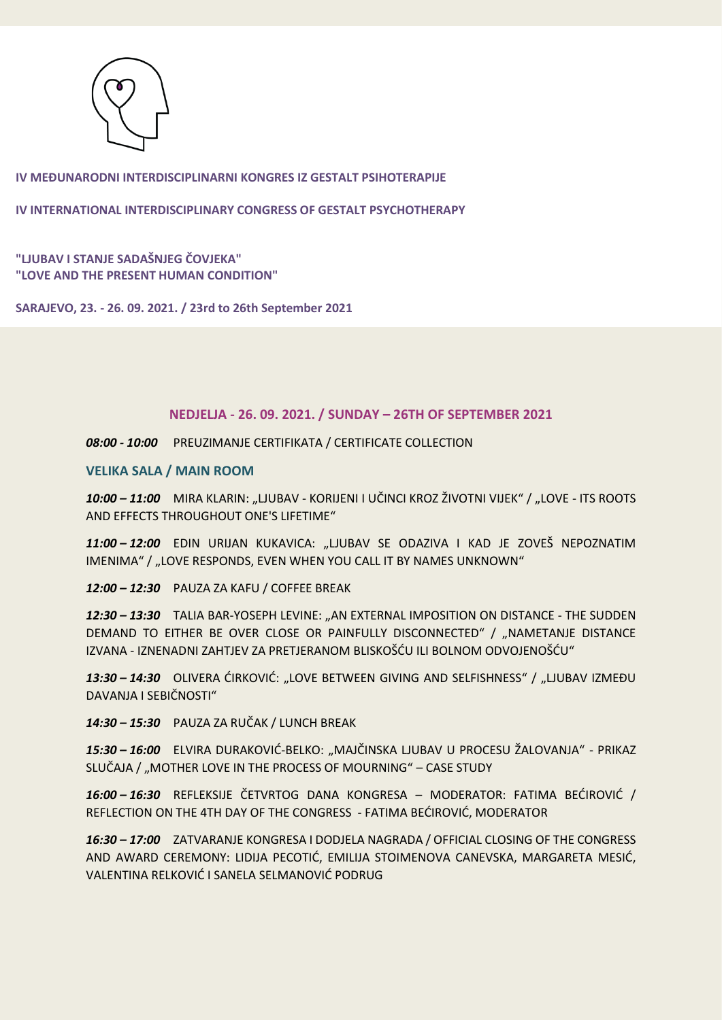

**IV INTERNATIONAL INTERDISCIPLINARY CONGRESS OF GESTALT PSYCHOTHERAPY**

**"LJUBAV I STANJE SADAŠNJEG ČOVJEKA" "LOVE AND THE PRESENT HUMAN CONDITION"** 

**SARAJEVO, 23. - 26. 09. 2021. / 23rd to 26th September 2021**

#### **NEDJELJA - 26. 09. 2021. / SUNDAY – 26TH OF SEPTEMBER 2021**

*08:00 - 10:00* PREUZIMANJE CERTIFIKATA / CERTIFICATE COLLECTION

**VELIKA SALA / MAIN ROOM**

*10:00 – 11:00* MIRA KLARIN: "LJUBAV - KORIJENI I UČINCI KROZ ŽIVOTNI VIJEK" / "LOVE - ITS ROOTS AND EFFECTS THROUGHOUT ONE'S LIFETIME"

*11:00 – 12:00* EDIN URIJAN KUKAVICA: "LJUBAV SE ODAZIVA I KAD JE ZOVEŠ NEPOZNATIM IMENIMA" / "LOVE RESPONDS, EVEN WHEN YOU CALL IT BY NAMES UNKNOWN"

*12:00 – 12:30* PAUZA ZA KAFU / COFFEE BREAK

12:30 - 13:30 TALIA BAR-YOSEPH LEVINE: "AN EXTERNAL IMPOSITION ON DISTANCE - THE SUDDEN DEMAND TO EITHER BE OVER CLOSE OR PAINFULLY DISCONNECTED" / "NAMETANJE DISTANCE IZVANA - IZNENADNI ZAHTJEV ZA PRETJERANOM BLISKOŠĆU ILI BOLNOM ODVOJENOŠĆU"

13:30 – 14:30 OLIVERA ĆIRKOVIĆ: "LOVE BETWEEN GIVING AND SELFISHNESS" / "LJUBAV IZMEĐU DAVANJA I SEBIČNOSTI"

*14:30 – 15:30* PAUZA ZA RUČAK / LUNCH BREAK

*15:30 – 16:00* ELVIRA DURAKOVIĆ-BELKO: "MAJČINSKA LJUBAV U PROCESU ŽALOVANJA" - PRIKAZ SLUČAJA / "MOTHER LOVE IN THE PROCESS OF MOURNING" - CASE STUDY

*16:00 – 16:30* REFLEKSIJE ČETVRTOG DANA KONGRESA – MODERATOR: FATIMA BEĆIROVIĆ / REFLECTION ON THE 4TH DAY OF THE CONGRESS - FATIMA BEĆIROVIĆ, MODERATOR

*16:30 – 17:00* ZATVARANJE KONGRESA I DODJELA NAGRADA / OFFICIAL CLOSING OF THE CONGRESS AND AWARD CEREMONY: LIDIJA PECOTIĆ, EMILIJA STOIMENOVA CANEVSKA, MARGARETA MESIĆ, VALENTINA RELKOVIĆ I SANELA SELMANOVIĆ PODRUG